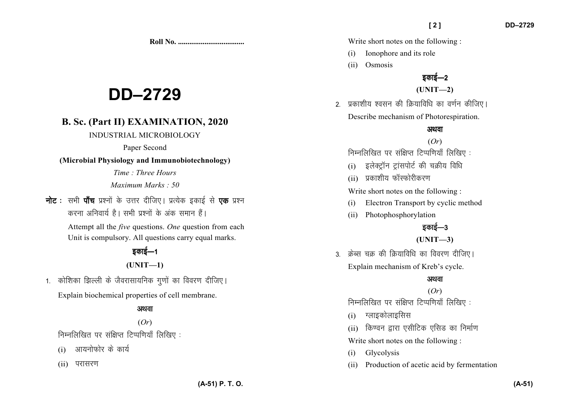# **DD–2729**

## **B. Sc. (Part II) EXAMINATION, 2020**

#### INDUSTRIAL MICROBIOLOGY

Paper Second

#### **(Microbial Physiology and Immunobiotechnology)**

*Time : Three Hours Maximum Marks : 50*

**नोट** : सभी **पाँच** प्रश्नों के उत्तर दीजिए। प्रत्येक इकाई से **एक** प्रश्न करना अनिवार्य है। सभी प्रश्नों के अंक समान हैं।

> Attempt all the *five* questions. *One* question from each Unit is compulsory. All questions carry equal marks.

## डकाई—1

#### **(UNIT—1)**

1. कोशिका झिल्ली के जैवरासायनिक गुणों का विवरण दीजिए। Explain biochemical properties of cell membrane.

### अथवा

# (*Or*)

निम्नलिखित पर संक्षिप्त टिप्पणियाँ लिखिए:

- $(i)$  आयनोफोर के कार्य
- (ii) परासरण

Write short notes on the following :

- (i) Ionophore and its role
- (ii) Osmosis

## डकाई—2

**(UNIT—2)** 

2. प्रकाशीय श्वसन की क्रियाविधि का वर्णन कीजिए। Describe mechanism of Photorespiration.

#### अथवा

#### (*Or*)

निम्नलिखित पर संक्षिप्त टिप्पणियाँ लिखिए:

- (i) इलेक्ट्रॉन ट्रांसपोर्ट की चक्रीय विधि
- $(i)$  प्रकाशीय फॉस्फोरीकरण

Write short notes on the following :

- (i) Electron Transport by cyclic method
- (ii) Photophosphorylation

## डकाई—3

#### **(UNIT—3)**

3. क्रेब्स चक्र की क्रियाविधि का विवरण दीजिए। Explain mechanism of Kreb's cycle.

#### अथवा

(*Or*) निम्नलिखित पर संक्षिप्त टिप्पणियाँ लिखिए:

- $(i)$  ग्लाइकोलाइसिस
- (ii) किण्वन द्वारा एसीटिक एसिड का निर्माण

Write short notes on the following :

- (i) Glycolysis
- (ii) Production of acetic acid by fermentation